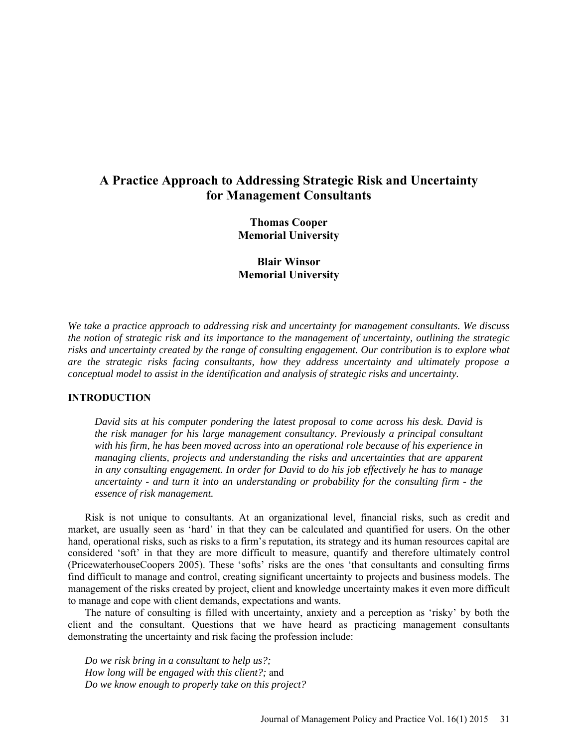# **A Practice Approach to Addressing Strategic Risk and Uncertainty for Management Consultants**

**Thomas Cooper Memorial University**

**Blair Winsor Memorial University** 

*We take a practice approach to addressing risk and uncertainty for management consultants. We discuss the notion of strategic risk and its importance to the management of uncertainty, outlining the strategic risks and uncertainty created by the range of consulting engagement. Our contribution is to explore what are the strategic risks facing consultants, how they address uncertainty and ultimately propose a conceptual model to assist in the identification and analysis of strategic risks and uncertainty.* 

### **INTRODUCTION**

*David sits at his computer pondering the latest proposal to come across his desk. David is the risk manager for his large management consultancy. Previously a principal consultant with his firm, he has been moved across into an operational role because of his experience in managing clients, projects and understanding the risks and uncertainties that are apparent in any consulting engagement. In order for David to do his job effectively he has to manage uncertainty - and turn it into an understanding or probability for the consulting firm - the essence of risk management.* 

Risk is not unique to consultants. At an organizational level, financial risks, such as credit and market, are usually seen as 'hard' in that they can be calculated and quantified for users. On the other hand, operational risks, such as risks to a firm's reputation, its strategy and its human resources capital are considered 'soft' in that they are more difficult to measure, quantify and therefore ultimately control (PricewaterhouseCoopers 2005). These 'softs' risks are the ones 'that consultants and consulting firms find difficult to manage and control, creating significant uncertainty to projects and business models. The management of the risks created by project, client and knowledge uncertainty makes it even more difficult to manage and cope with client demands, expectations and wants.

The nature of consulting is filled with uncertainty, anxiety and a perception as 'risky' by both the client and the consultant. Questions that we have heard as practicing management consultants demonstrating the uncertainty and risk facing the profession include:

*Do we risk bring in a consultant to help us?; How long will be engaged with this client?;* and *Do we know enough to properly take on this project?*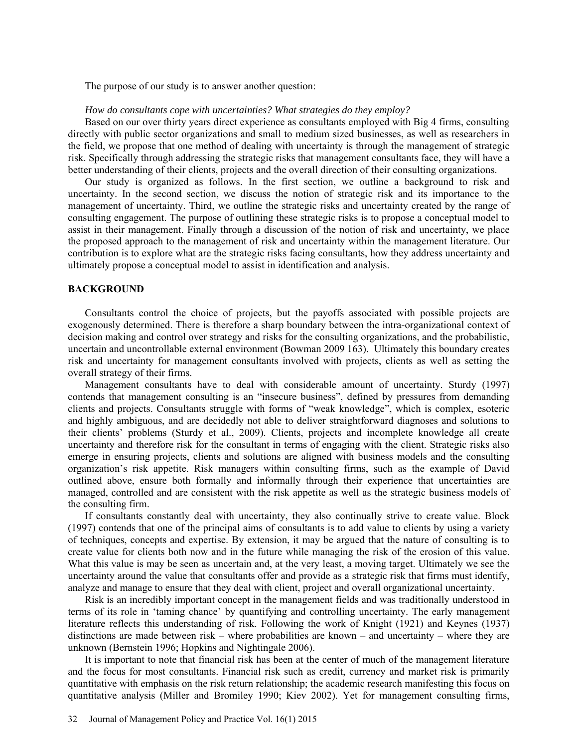The purpose of our study is to answer another question:

#### *How do consultants cope with uncertainties? What strategies do they employ?*

Based on our over thirty years direct experience as consultants employed with Big 4 firms, consulting directly with public sector organizations and small to medium sized businesses, as well as researchers in the field, we propose that one method of dealing with uncertainty is through the management of strategic risk. Specifically through addressing the strategic risks that management consultants face, they will have a better understanding of their clients, projects and the overall direction of their consulting organizations.

Our study is organized as follows. In the first section, we outline a background to risk and uncertainty. In the second section, we discuss the notion of strategic risk and its importance to the management of uncertainty. Third, we outline the strategic risks and uncertainty created by the range of consulting engagement. The purpose of outlining these strategic risks is to propose a conceptual model to assist in their management. Finally through a discussion of the notion of risk and uncertainty, we place the proposed approach to the management of risk and uncertainty within the management literature. Our contribution is to explore what are the strategic risks facing consultants, how they address uncertainty and ultimately propose a conceptual model to assist in identification and analysis.

#### **BACKGROUND**

Consultants control the choice of projects, but the payoffs associated with possible projects are exogenously determined. There is therefore a sharp boundary between the intra-organizational context of decision making and control over strategy and risks for the consulting organizations, and the probabilistic, uncertain and uncontrollable external environment (Bowman 2009 163). Ultimately this boundary creates risk and uncertainty for management consultants involved with projects, clients as well as setting the overall strategy of their firms.

Management consultants have to deal with considerable amount of uncertainty. Sturdy (1997) contends that management consulting is an "insecure business", defined by pressures from demanding clients and projects. Consultants struggle with forms of "weak knowledge", which is complex, esoteric and highly ambiguous, and are decidedly not able to deliver straightforward diagnoses and solutions to their clients' problems (Sturdy et al., 2009). Clients, projects and incomplete knowledge all create uncertainty and therefore risk for the consultant in terms of engaging with the client. Strategic risks also emerge in ensuring projects, clients and solutions are aligned with business models and the consulting organization's risk appetite. Risk managers within consulting firms, such as the example of David outlined above, ensure both formally and informally through their experience that uncertainties are managed, controlled and are consistent with the risk appetite as well as the strategic business models of the consulting firm.

If consultants constantly deal with uncertainty, they also continually strive to create value. Block (1997) contends that one of the principal aims of consultants is to add value to clients by using a variety of techniques, concepts and expertise. By extension, it may be argued that the nature of consulting is to create value for clients both now and in the future while managing the risk of the erosion of this value. What this value is may be seen as uncertain and, at the very least, a moving target. Ultimately we see the uncertainty around the value that consultants offer and provide as a strategic risk that firms must identify, analyze and manage to ensure that they deal with client, project and overall organizational uncertainty.

Risk is an incredibly important concept in the management fields and was traditionally understood in terms of its role in 'taming chance' by quantifying and controlling uncertainty. The early management literature reflects this understanding of risk. Following the work of Knight (1921) and Keynes (1937) distinctions are made between risk – where probabilities are known – and uncertainty – where they are unknown (Bernstein 1996; Hopkins and Nightingale 2006).

It is important to note that financial risk has been at the center of much of the management literature and the focus for most consultants. Financial risk such as credit, currency and market risk is primarily quantitative with emphasis on the risk return relationship; the academic research manifesting this focus on quantitative analysis (Miller and Bromiley 1990; Kiev 2002). Yet for management consulting firms,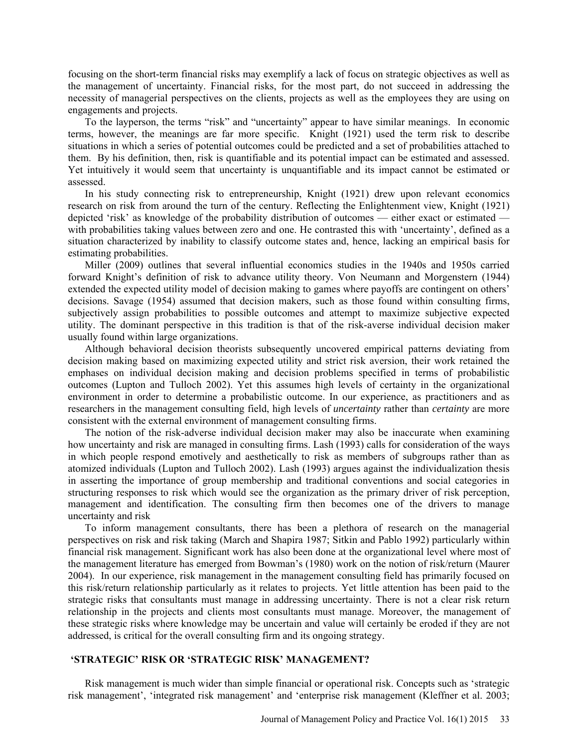focusing on the short-term financial risks may exemplify a lack of focus on strategic objectives as well as the management of uncertainty. Financial risks, for the most part, do not succeed in addressing the necessity of managerial perspectives on the clients, projects as well as the employees they are using on engagements and projects.

To the layperson, the terms "risk" and "uncertainty" appear to have similar meanings. In economic terms, however, the meanings are far more specific. Knight (1921) used the term risk to describe situations in which a series of potential outcomes could be predicted and a set of probabilities attached to them. By his definition, then, risk is quantifiable and its potential impact can be estimated and assessed. Yet intuitively it would seem that uncertainty is unquantifiable and its impact cannot be estimated or assessed.

In his study connecting risk to entrepreneurship, Knight (1921) drew upon relevant economics research on risk from around the turn of the century. Reflecting the Enlightenment view, Knight (1921) depicted 'risk' as knowledge of the probability distribution of outcomes — either exact or estimated with probabilities taking values between zero and one. He contrasted this with 'uncertainty', defined as a situation characterized by inability to classify outcome states and, hence, lacking an empirical basis for estimating probabilities.

Miller (2009) outlines that several influential economics studies in the 1940s and 1950s carried forward Knight's definition of risk to advance utility theory. Von Neumann and Morgenstern (1944) extended the expected utility model of decision making to games where payoffs are contingent on others' decisions. Savage (1954) assumed that decision makers, such as those found within consulting firms, subjectively assign probabilities to possible outcomes and attempt to maximize subjective expected utility. The dominant perspective in this tradition is that of the risk-averse individual decision maker usually found within large organizations.

Although behavioral decision theorists subsequently uncovered empirical patterns deviating from decision making based on maximizing expected utility and strict risk aversion, their work retained the emphases on individual decision making and decision problems specified in terms of probabilistic outcomes (Lupton and Tulloch 2002). Yet this assumes high levels of certainty in the organizational environment in order to determine a probabilistic outcome. In our experience, as practitioners and as researchers in the management consulting field, high levels of *uncertainty* rather than *certainty* are more consistent with the external environment of management consulting firms.

The notion of the risk-adverse individual decision maker may also be inaccurate when examining how uncertainty and risk are managed in consulting firms. Lash (1993) calls for consideration of the ways in which people respond emotively and aesthetically to risk as members of subgroups rather than as atomized individuals (Lupton and Tulloch 2002). Lash (1993) argues against the individualization thesis in asserting the importance of group membership and traditional conventions and social categories in structuring responses to risk which would see the organization as the primary driver of risk perception, management and identification. The consulting firm then becomes one of the drivers to manage uncertainty and risk

To inform management consultants, there has been a plethora of research on the managerial perspectives on risk and risk taking (March and Shapira 1987; Sitkin and Pablo 1992) particularly within financial risk management. Significant work has also been done at the organizational level where most of the management literature has emerged from Bowman's (1980) work on the notion of risk/return (Maurer 2004). In our experience, risk management in the management consulting field has primarily focused on this risk/return relationship particularly as it relates to projects. Yet little attention has been paid to the strategic risks that consultants must manage in addressing uncertainty. There is not a clear risk return relationship in the projects and clients most consultants must manage. Moreover, the management of these strategic risks where knowledge may be uncertain and value will certainly be eroded if they are not addressed, is critical for the overall consulting firm and its ongoing strategy.

# **'STRATEGIC' RISK OR 'STRATEGIC RISK' MANAGEMENT?**

Risk management is much wider than simple financial or operational risk. Concepts such as 'strategic risk management', 'integrated risk management' and 'enterprise risk management (Kleffner et al. 2003;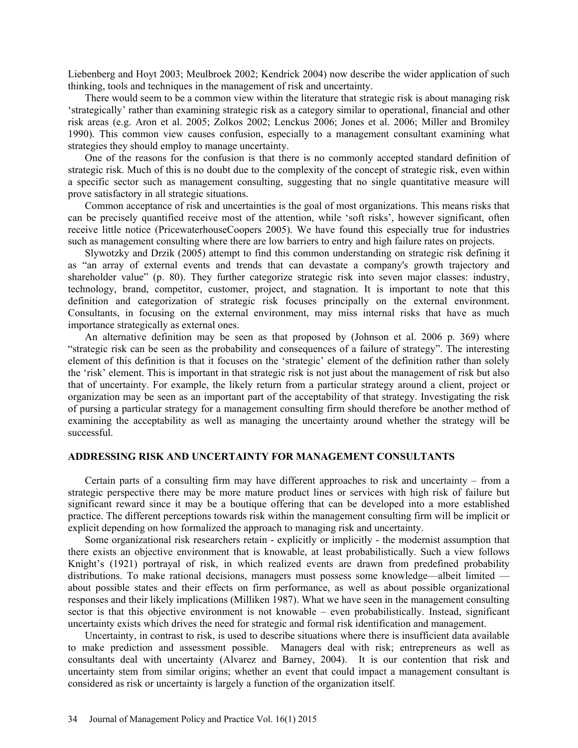Liebenberg and Hoyt 2003; Meulbroek 2002; Kendrick 2004) now describe the wider application of such thinking, tools and techniques in the management of risk and uncertainty.

There would seem to be a common view within the literature that strategic risk is about managing risk 'strategically' rather than examining strategic risk as a category similar to operational, financial and other risk areas (e.g. Aron et al. 2005; Zolkos 2002; Lenckus 2006; Jones et al. 2006; Miller and Bromiley 1990). This common view causes confusion, especially to a management consultant examining what strategies they should employ to manage uncertainty.

One of the reasons for the confusion is that there is no commonly accepted standard definition of strategic risk. Much of this is no doubt due to the complexity of the concept of strategic risk, even within a specific sector such as management consulting, suggesting that no single quantitative measure will prove satisfactory in all strategic situations.

Common acceptance of risk and uncertainties is the goal of most organizations. This means risks that can be precisely quantified receive most of the attention, while 'soft risks', however significant, often receive little notice (PricewaterhouseCoopers 2005). We have found this especially true for industries such as management consulting where there are low barriers to entry and high failure rates on projects.

Slywotzky and Drzik (2005) attempt to find this common understanding on strategic risk defining it as "an array of external events and trends that can devastate a company's growth trajectory and shareholder value" (p. 80). They further categorize strategic risk into seven major classes: industry, technology, brand, competitor, customer, project, and stagnation. It is important to note that this definition and categorization of strategic risk focuses principally on the external environment. Consultants, in focusing on the external environment, may miss internal risks that have as much importance strategically as external ones.

An alternative definition may be seen as that proposed by (Johnson et al. 2006 p. 369) where "strategic risk can be seen as the probability and consequences of a failure of strategy". The interesting element of this definition is that it focuses on the 'strategic' element of the definition rather than solely the 'risk' element. This is important in that strategic risk is not just about the management of risk but also that of uncertainty. For example, the likely return from a particular strategy around a client, project or organization may be seen as an important part of the acceptability of that strategy. Investigating the risk of pursing a particular strategy for a management consulting firm should therefore be another method of examining the acceptability as well as managing the uncertainty around whether the strategy will be successful.

#### **ADDRESSING RISK AND UNCERTAINTY FOR MANAGEMENT CONSULTANTS**

Certain parts of a consulting firm may have different approaches to risk and uncertainty – from a strategic perspective there may be more mature product lines or services with high risk of failure but significant reward since it may be a boutique offering that can be developed into a more established practice. The different perceptions towards risk within the management consulting firm will be implicit or explicit depending on how formalized the approach to managing risk and uncertainty.

Some organizational risk researchers retain - explicitly or implicitly - the modernist assumption that there exists an objective environment that is knowable, at least probabilistically. Such a view follows Knight's (1921) portrayal of risk, in which realized events are drawn from predefined probability distributions. To make rational decisions, managers must possess some knowledge—albeit limited about possible states and their effects on firm performance, as well as about possible organizational responses and their likely implications (Milliken 1987). What we have seen in the management consulting sector is that this objective environment is not knowable – even probabilistically. Instead, significant uncertainty exists which drives the need for strategic and formal risk identification and management.

Uncertainty, in contrast to risk, is used to describe situations where there is insufficient data available to make prediction and assessment possible. Managers deal with risk; entrepreneurs as well as consultants deal with uncertainty (Alvarez and Barney, 2004). It is our contention that risk and uncertainty stem from similar origins; whether an event that could impact a management consultant is considered as risk or uncertainty is largely a function of the organization itself.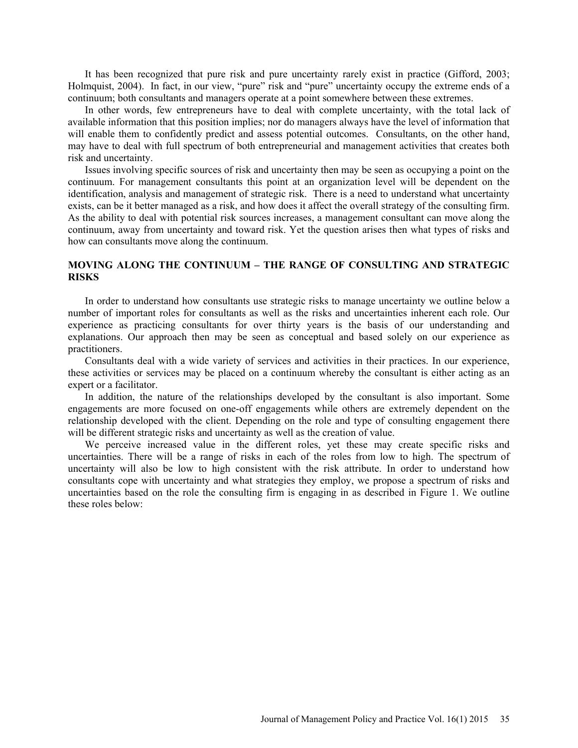It has been recognized that pure risk and pure uncertainty rarely exist in practice (Gifford, 2003; Holmquist, 2004). In fact, in our view, "pure" risk and "pure" uncertainty occupy the extreme ends of a continuum; both consultants and managers operate at a point somewhere between these extremes.

In other words, few entrepreneurs have to deal with complete uncertainty, with the total lack of available information that this position implies; nor do managers always have the level of information that will enable them to confidently predict and assess potential outcomes. Consultants, on the other hand, may have to deal with full spectrum of both entrepreneurial and management activities that creates both risk and uncertainty.

Issues involving specific sources of risk and uncertainty then may be seen as occupying a point on the continuum. For management consultants this point at an organization level will be dependent on the identification, analysis and management of strategic risk. There is a need to understand what uncertainty exists, can be it better managed as a risk, and how does it affect the overall strategy of the consulting firm. As the ability to deal with potential risk sources increases, a management consultant can move along the continuum, away from uncertainty and toward risk. Yet the question arises then what types of risks and how can consultants move along the continuum.

# **MOVING ALONG THE CONTINUUM – THE RANGE OF CONSULTING AND STRATEGIC RISKS**

In order to understand how consultants use strategic risks to manage uncertainty we outline below a number of important roles for consultants as well as the risks and uncertainties inherent each role. Our experience as practicing consultants for over thirty years is the basis of our understanding and explanations. Our approach then may be seen as conceptual and based solely on our experience as practitioners.

Consultants deal with a wide variety of services and activities in their practices. In our experience, these activities or services may be placed on a continuum whereby the consultant is either acting as an expert or a facilitator.

In addition, the nature of the relationships developed by the consultant is also important. Some engagements are more focused on one-off engagements while others are extremely dependent on the relationship developed with the client. Depending on the role and type of consulting engagement there will be different strategic risks and uncertainty as well as the creation of value.

We perceive increased value in the different roles, yet these may create specific risks and uncertainties. There will be a range of risks in each of the roles from low to high. The spectrum of uncertainty will also be low to high consistent with the risk attribute. In order to understand how consultants cope with uncertainty and what strategies they employ, we propose a spectrum of risks and uncertainties based on the role the consulting firm is engaging in as described in Figure 1. We outline these roles below: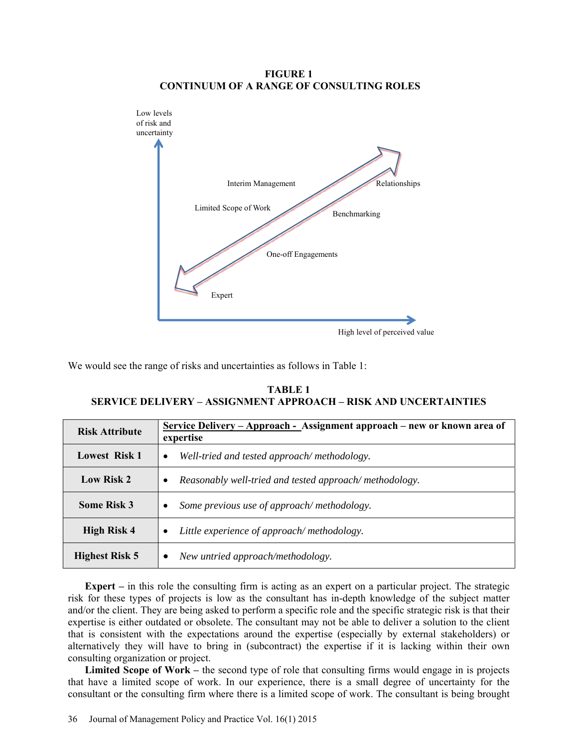# **FIGURE 1 CONTINUUM OF A RANGE OF CONSULTING ROLES**



We would see the range of risks and uncertainties as follows in Table 1:

| <b>TABLE 1</b>                                                  |  |  |  |  |  |  |  |
|-----------------------------------------------------------------|--|--|--|--|--|--|--|
| SERVICE DELIVERY – ASSIGNMENT APPROACH – RISK AND UNCERTAINTIES |  |  |  |  |  |  |  |

| <b>Risk Attribute</b> | <u> Service Delivery – Approach - Assignment approach – new or known area of</u><br>expertise |  |  |  |  |  |  |  |
|-----------------------|-----------------------------------------------------------------------------------------------|--|--|--|--|--|--|--|
| <b>Lowest Risk 1</b>  | Well-tried and tested approach/methodology.<br>$\bullet$                                      |  |  |  |  |  |  |  |
| <b>Low Risk 2</b>     | Reasonably well-tried and tested approach/methodology.                                        |  |  |  |  |  |  |  |
| <b>Some Risk 3</b>    | Some previous use of approach/methodology.<br>$\bullet$                                       |  |  |  |  |  |  |  |
| <b>High Risk 4</b>    | Little experience of approach/methodology.                                                    |  |  |  |  |  |  |  |
| <b>Highest Risk 5</b> | New untried approach/methodology.<br>٠                                                        |  |  |  |  |  |  |  |

**Expert** – in this role the consulting firm is acting as an expert on a particular project. The strategic risk for these types of projects is low as the consultant has in-depth knowledge of the subject matter and/or the client. They are being asked to perform a specific role and the specific strategic risk is that their expertise is either outdated or obsolete. The consultant may not be able to deliver a solution to the client that is consistent with the expectations around the expertise (especially by external stakeholders) or alternatively they will have to bring in (subcontract) the expertise if it is lacking within their own consulting organization or project.

**Limited Scope of Work –** the second type of role that consulting firms would engage in is projects that have a limited scope of work. In our experience, there is a small degree of uncertainty for the consultant or the consulting firm where there is a limited scope of work. The consultant is being brought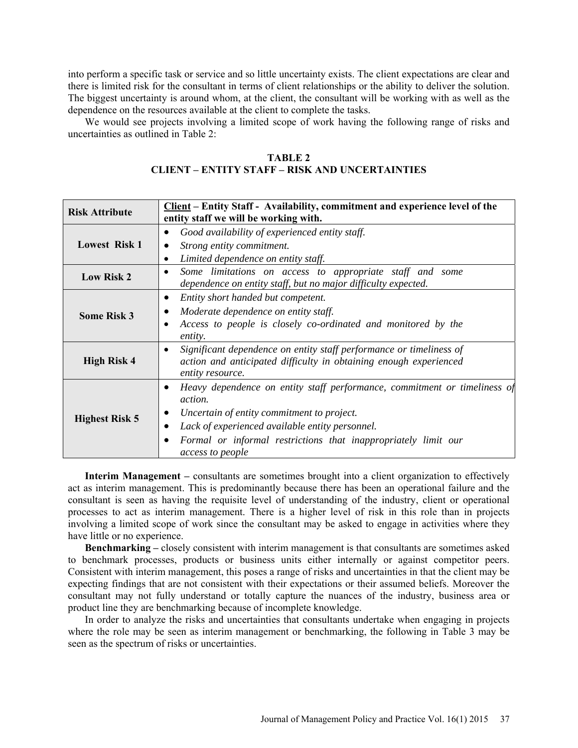into perform a specific task or service and so little uncertainty exists. The client expectations are clear and there is limited risk for the consultant in terms of client relationships or the ability to deliver the solution. The biggest uncertainty is around whom, at the client, the consultant will be working with as well as the dependence on the resources available at the client to complete the tasks.

We would see projects involving a limited scope of work having the following range of risks and uncertainties as outlined in Table 2:

#### **TABLE 2**

# **CLIENT – ENTITY STAFF – RISK AND UNCERTAINTIES**

| <b>Risk Attribute</b>                                                                                                                      | Client – Entity Staff - Availability, commitment and experience level of the<br>entity staff we will be working with.                                                                                                                                                              |  |  |  |  |  |  |
|--------------------------------------------------------------------------------------------------------------------------------------------|------------------------------------------------------------------------------------------------------------------------------------------------------------------------------------------------------------------------------------------------------------------------------------|--|--|--|--|--|--|
| Good availability of experienced entity staff.<br><b>Lowest Risk 1</b><br>Strong entity commitment.<br>Limited dependence on entity staff. |                                                                                                                                                                                                                                                                                    |  |  |  |  |  |  |
| <b>Low Risk 2</b>                                                                                                                          | Some limitations on access to appropriate staff and some<br>dependence on entity staff, but no major difficulty expected.                                                                                                                                                          |  |  |  |  |  |  |
| <b>Some Risk 3</b>                                                                                                                         | Entity short handed but competent.<br>Moderate dependence on entity staff.<br>Access to people is closely co-ordinated and monitored by the<br>entity.                                                                                                                             |  |  |  |  |  |  |
| <b>High Risk 4</b>                                                                                                                         | Significant dependence on entity staff performance or timeliness of<br>action and anticipated difficulty in obtaining enough experienced<br>entity resource.                                                                                                                       |  |  |  |  |  |  |
| <b>Highest Risk 5</b>                                                                                                                      | Heavy dependence on entity staff performance, commitment or timeliness of<br><i>action.</i><br>Uncertain of entity commitment to project.<br>Lack of experienced available entity personnel.<br>Formal or informal restrictions that inappropriately limit our<br>access to people |  |  |  |  |  |  |

**Interim Management –** consultants are sometimes brought into a client organization to effectively act as interim management. This is predominantly because there has been an operational failure and the consultant is seen as having the requisite level of understanding of the industry, client or operational processes to act as interim management. There is a higher level of risk in this role than in projects involving a limited scope of work since the consultant may be asked to engage in activities where they have little or no experience.

**Benchmarking –** closely consistent with interim management is that consultants are sometimes asked to benchmark processes, products or business units either internally or against competitor peers. Consistent with interim management, this poses a range of risks and uncertainties in that the client may be expecting findings that are not consistent with their expectations or their assumed beliefs. Moreover the consultant may not fully understand or totally capture the nuances of the industry, business area or product line they are benchmarking because of incomplete knowledge.

In order to analyze the risks and uncertainties that consultants undertake when engaging in projects where the role may be seen as interim management or benchmarking, the following in Table 3 may be seen as the spectrum of risks or uncertainties.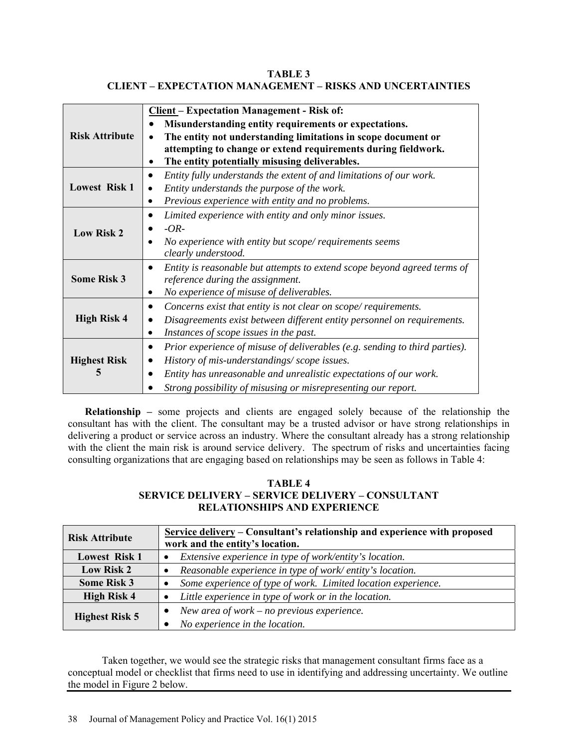**TABLE 3 CLIENT – EXPECTATION MANAGEMENT – RISKS AND UNCERTAINTIES** 

|                       | <b>Client - Expectation Management - Risk of:</b>                                        |  |  |  |  |  |
|-----------------------|------------------------------------------------------------------------------------------|--|--|--|--|--|
|                       | Misunderstanding entity requirements or expectations.                                    |  |  |  |  |  |
| <b>Risk Attribute</b> | The entity not understanding limitations in scope document or<br>$\bullet$               |  |  |  |  |  |
|                       | attempting to change or extend requirements during fieldwork.                            |  |  |  |  |  |
|                       | The entity potentially misusing deliverables.                                            |  |  |  |  |  |
|                       | Entity fully understands the extent of and limitations of our work.<br>$\bullet$         |  |  |  |  |  |
| <b>Lowest Risk 1</b>  | Entity understands the purpose of the work.                                              |  |  |  |  |  |
|                       | Previous experience with entity and no problems.                                         |  |  |  |  |  |
|                       | Limited experience with entity and only minor issues.                                    |  |  |  |  |  |
| <b>Low Risk 2</b>     | $-OR-$                                                                                   |  |  |  |  |  |
|                       | No experience with entity but scope/requirements seems                                   |  |  |  |  |  |
|                       | clearly understood.                                                                      |  |  |  |  |  |
|                       | Entity is reasonable but attempts to extend scope beyond agreed terms of                 |  |  |  |  |  |
| <b>Some Risk 3</b>    | reference during the assignment.                                                         |  |  |  |  |  |
|                       | No experience of misuse of deliverables.                                                 |  |  |  |  |  |
|                       | Concerns exist that entity is not clear on scope/requirements.<br>٠                      |  |  |  |  |  |
| <b>High Risk 4</b>    | Disagreements exist between different entity personnel on requirements.                  |  |  |  |  |  |
|                       | Instances of scope issues in the past.<br>٠                                              |  |  |  |  |  |
|                       | Prior experience of misuse of deliverables (e.g. sending to third parties).<br>$\bullet$ |  |  |  |  |  |
| <b>Highest Risk</b>   | History of mis-understandings/scope issues.                                              |  |  |  |  |  |
| 5                     | Entity has unreasonable and unrealistic expectations of our work.                        |  |  |  |  |  |
|                       | Strong possibility of misusing or misrepresenting our report.                            |  |  |  |  |  |

**Relationship –** some projects and clients are engaged solely because of the relationship the consultant has with the client. The consultant may be a trusted advisor or have strong relationships in delivering a product or service across an industry. Where the consultant already has a strong relationship with the client the main risk is around service delivery. The spectrum of risks and uncertainties facing consulting organizations that are engaging based on relationships may be seen as follows in Table 4:

# **TABLE 4 SERVICE DELIVERY – SERVICE DELIVERY – CONSULTANT RELATIONSHIPS AND EXPERIENCE**

| <b>Risk Attribute</b> | Service delivery – Consultant's relationship and experience with proposed |  |  |  |  |  |
|-----------------------|---------------------------------------------------------------------------|--|--|--|--|--|
|                       | work and the entity's location.                                           |  |  |  |  |  |
| <b>Lowest Risk 1</b>  | Extensive experience in type of work/entity's location.                   |  |  |  |  |  |
| Low Risk 2            | Reasonable experience in type of work/entity's location.                  |  |  |  |  |  |
| <b>Some Risk 3</b>    | Some experience of type of work. Limited location experience.             |  |  |  |  |  |
| <b>High Risk 4</b>    | Little experience in type of work or in the location.                     |  |  |  |  |  |
|                       | New area of work $-$ no previous experience.<br>$\bullet$                 |  |  |  |  |  |
| <b>Highest Risk 5</b> | No experience in the location.                                            |  |  |  |  |  |

 Taken together, we would see the strategic risks that management consultant firms face as a conceptual model or checklist that firms need to use in identifying and addressing uncertainty. We outline the model in Figure 2 below.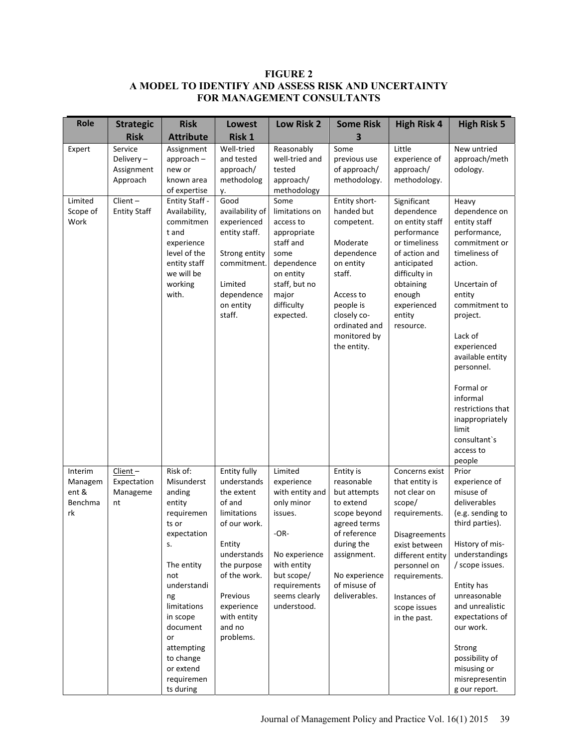# **FIGURE 2 A MODEL TO IDENTIFY AND ASSESS RISK AND UNCERTAINTY FOR MANAGEMENT CONSULTANTS**

| <b>Role</b>                                  | <b>Strategic</b>                               | <b>Risk</b>                                                                                                                                                                                                                                      | Lowest                                                                                                                                                                                                     | Low Risk 2                                                                                                                                                                | <b>Some Risk</b>                                                                                                                                                                    | <b>High Risk 4</b>                                                                                                                                                                                                 | <b>High Risk 5</b>                                                                                                                                                                                                                                                                                                                      |
|----------------------------------------------|------------------------------------------------|--------------------------------------------------------------------------------------------------------------------------------------------------------------------------------------------------------------------------------------------------|------------------------------------------------------------------------------------------------------------------------------------------------------------------------------------------------------------|---------------------------------------------------------------------------------------------------------------------------------------------------------------------------|-------------------------------------------------------------------------------------------------------------------------------------------------------------------------------------|--------------------------------------------------------------------------------------------------------------------------------------------------------------------------------------------------------------------|-----------------------------------------------------------------------------------------------------------------------------------------------------------------------------------------------------------------------------------------------------------------------------------------------------------------------------------------|
|                                              | <b>Risk</b>                                    | <b>Attribute</b>                                                                                                                                                                                                                                 | Risk 1                                                                                                                                                                                                     |                                                                                                                                                                           | 3                                                                                                                                                                                   |                                                                                                                                                                                                                    |                                                                                                                                                                                                                                                                                                                                         |
| Expert                                       | Service<br>Delivery-<br>Assignment<br>Approach | Assignment<br>$approach -$<br>new or<br>known area<br>of expertise                                                                                                                                                                               | Well-tried<br>and tested<br>approach/<br>methodolog<br>у.                                                                                                                                                  | Reasonably<br>well-tried and<br>tested<br>approach/<br>methodology                                                                                                        | Some<br>previous use<br>of approach/<br>methodology.                                                                                                                                | Little<br>experience of<br>approach/<br>methodology.                                                                                                                                                               | New untried<br>approach/meth<br>odology.                                                                                                                                                                                                                                                                                                |
| Limited<br>Scope of<br>Work                  | $Client -$<br><b>Entity Staff</b>              | Entity Staff -<br>Availability,<br>commitmen<br>t and<br>experience<br>level of the<br>entity staff<br>we will be<br>working<br>with.                                                                                                            | Good<br>availability of<br>experienced<br>entity staff.<br>Strong entity<br>commitment.<br>Limited<br>dependence<br>on entity<br>staff.                                                                    | Some<br>limitations on<br>access to<br>appropriate<br>staff and<br>some<br>dependence<br>on entity<br>staff, but no<br>major<br>difficulty<br>expected.                   | Entity short-<br>handed but<br>competent.<br>Moderate<br>dependence<br>on entity<br>staff.<br>Access to<br>people is<br>closely co-<br>ordinated and<br>monitored by<br>the entity. | Significant<br>dependence<br>on entity staff<br>performance<br>or timeliness<br>of action and<br>anticipated<br>difficulty in<br>obtaining<br>enough<br>experienced<br>entity<br>resource.                         | Heavy<br>dependence on<br>entity staff<br>performance,<br>commitment or<br>timeliness of<br>action.<br>Uncertain of<br>entity<br>commitment to<br>project.<br>Lack of<br>experienced<br>available entity<br>personnel.<br>Formal or<br>informal<br>restrictions that<br>inappropriately<br>limit<br>consultant's<br>access to<br>people |
| Interim<br>Managem<br>ent &<br>Benchma<br>rk | Client-<br>Expectation<br>Manageme<br>nt       | Risk of:<br>Misunderst<br>anding<br>entity<br>requiremen<br>ts or<br>expectation<br>s.<br>The entity<br>not<br>understandi<br>ng<br>limitations<br>in scope<br>document<br>or<br>attempting<br>to change<br>or extend<br>requiremen<br>ts during | Entity fully<br>understands<br>the extent<br>of and<br>limitations<br>of our work.<br>Entity<br>understands<br>the purpose<br>of the work.<br>Previous<br>experience<br>with entity<br>and no<br>problems. | Limited<br>experience<br>with entity and<br>only minor<br>issues.<br>$-OR-$<br>No experience<br>with entity<br>but scope/<br>requirements<br>seems clearly<br>understood. | Entity is<br>reasonable<br>but attempts<br>to extend<br>scope beyond<br>agreed terms<br>of reference<br>during the<br>assignment.<br>No experience<br>of misuse of<br>deliverables. | Concerns exist<br>that entity is<br>not clear on<br>scope/<br>requirements.<br>Disagreements<br>exist between<br>different entity<br>personnel on<br>requirements.<br>Instances of<br>scope issues<br>in the past. | Prior<br>experience of<br>misuse of<br>deliverables<br>(e.g. sending to<br>third parties).<br>History of mis-<br>understandings<br>/ scope issues.<br>Entity has<br>unreasonable<br>and unrealistic<br>expectations of<br>our work.<br>Strong<br>possibility of<br>misusing or<br>misrepresentin<br>g our report.                       |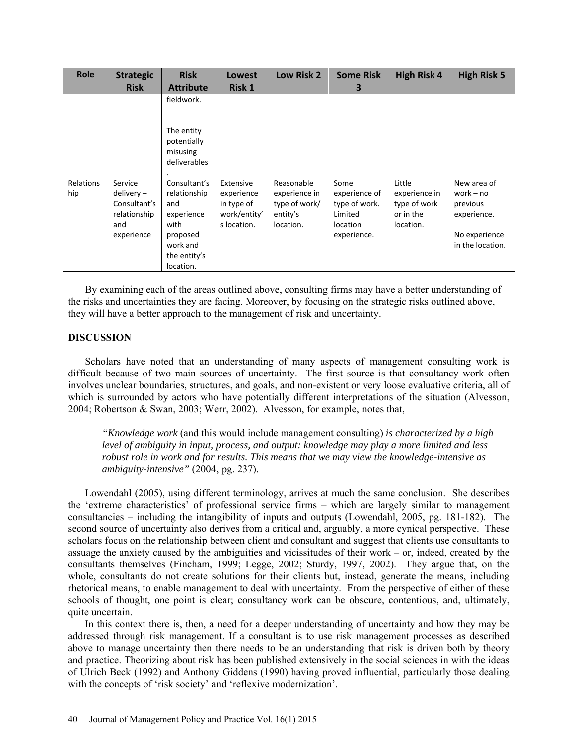| <b>Role</b>      | <b>Strategic</b>                                                             | <b>Risk</b>                                                                                                    | <b>Lowest</b>                                                        | Low Risk 2                                                            | <b>Some Risk</b>                                                                    | <b>High Risk 4</b>                                                | <b>High Risk 5</b>                                                                         |
|------------------|------------------------------------------------------------------------------|----------------------------------------------------------------------------------------------------------------|----------------------------------------------------------------------|-----------------------------------------------------------------------|-------------------------------------------------------------------------------------|-------------------------------------------------------------------|--------------------------------------------------------------------------------------------|
|                  | <b>Risk</b>                                                                  | <b>Attribute</b>                                                                                               | <b>Risk 1</b>                                                        |                                                                       | З                                                                                   |                                                                   |                                                                                            |
|                  |                                                                              | fieldwork.<br>The entity<br>potentially<br>misusing<br>deliverables                                            |                                                                      |                                                                       |                                                                                     |                                                                   |                                                                                            |
| Relations<br>hip | Service<br>$delivery -$<br>Consultant's<br>relationship<br>and<br>experience | Consultant's<br>relationship<br>and<br>experience<br>with<br>proposed<br>work and<br>the entity's<br>location. | Extensive<br>experience<br>in type of<br>work/entity'<br>s location. | Reasonable<br>experience in<br>type of work/<br>entity's<br>location. | Some<br>experience of<br>type of work.<br>Limited<br><b>location</b><br>experience. | Little<br>experience in<br>type of work<br>or in the<br>location. | New area of<br>work $-$ no<br>previous<br>experience.<br>No experience<br>in the location. |

By examining each of the areas outlined above, consulting firms may have a better understanding of the risks and uncertainties they are facing. Moreover, by focusing on the strategic risks outlined above, they will have a better approach to the management of risk and uncertainty.

# **DISCUSSION**

Scholars have noted that an understanding of many aspects of management consulting work is difficult because of two main sources of uncertainty. The first source is that consultancy work often involves unclear boundaries, structures, and goals, and non-existent or very loose evaluative criteria, all of which is surrounded by actors who have potentially different interpretations of the situation (Alvesson, 2004; Robertson & Swan, 2003; Werr, 2002). Alvesson, for example, notes that,

*"Knowledge work* (and this would include management consulting) *is characterized by a high level of ambiguity in input, process, and output: knowledge may play a more limited and less robust role in work and for results. This means that we may view the knowledge-intensive as ambiguity-intensive"* (2004, pg. 237).

Lowendahl (2005), using different terminology, arrives at much the same conclusion. She describes the 'extreme characteristics' of professional service firms – which are largely similar to management consultancies – including the intangibility of inputs and outputs (Lowendahl, 2005, pg. 181-182). The second source of uncertainty also derives from a critical and, arguably, a more cynical perspective. These scholars focus on the relationship between client and consultant and suggest that clients use consultants to assuage the anxiety caused by the ambiguities and vicissitudes of their work – or, indeed, created by the consultants themselves (Fincham, 1999; Legge, 2002; Sturdy, 1997, 2002). They argue that, on the whole, consultants do not create solutions for their clients but, instead, generate the means, including rhetorical means, to enable management to deal with uncertainty. From the perspective of either of these schools of thought, one point is clear; consultancy work can be obscure, contentious, and, ultimately, quite uncertain.

In this context there is, then, a need for a deeper understanding of uncertainty and how they may be addressed through risk management. If a consultant is to use risk management processes as described above to manage uncertainty then there needs to be an understanding that risk is driven both by theory and practice. Theorizing about risk has been published extensively in the social sciences in with the ideas of Ulrich Beck (1992) and Anthony Giddens (1990) having proved influential, particularly those dealing with the concepts of 'risk society' and 'reflexive modernization'.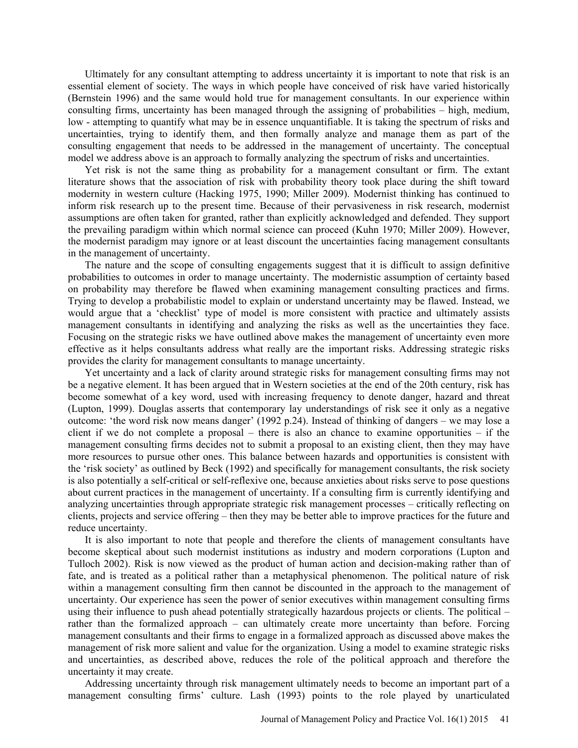Ultimately for any consultant attempting to address uncertainty it is important to note that risk is an essential element of society. The ways in which people have conceived of risk have varied historically (Bernstein 1996) and the same would hold true for management consultants. In our experience within consulting firms, uncertainty has been managed through the assigning of probabilities – high, medium, low - attempting to quantify what may be in essence unquantifiable. It is taking the spectrum of risks and uncertainties, trying to identify them, and then formally analyze and manage them as part of the consulting engagement that needs to be addressed in the management of uncertainty. The conceptual model we address above is an approach to formally analyzing the spectrum of risks and uncertainties.

Yet risk is not the same thing as probability for a management consultant or firm. The extant literature shows that the association of risk with probability theory took place during the shift toward modernity in western culture (Hacking 1975, 1990; Miller 2009). Modernist thinking has continued to inform risk research up to the present time. Because of their pervasiveness in risk research, modernist assumptions are often taken for granted, rather than explicitly acknowledged and defended. They support the prevailing paradigm within which normal science can proceed (Kuhn 1970; Miller 2009). However, the modernist paradigm may ignore or at least discount the uncertainties facing management consultants in the management of uncertainty.

The nature and the scope of consulting engagements suggest that it is difficult to assign definitive probabilities to outcomes in order to manage uncertainty. The modernistic assumption of certainty based on probability may therefore be flawed when examining management consulting practices and firms. Trying to develop a probabilistic model to explain or understand uncertainty may be flawed. Instead, we would argue that a 'checklist' type of model is more consistent with practice and ultimately assists management consultants in identifying and analyzing the risks as well as the uncertainties they face. Focusing on the strategic risks we have outlined above makes the management of uncertainty even more effective as it helps consultants address what really are the important risks. Addressing strategic risks provides the clarity for management consultants to manage uncertainty.

Yet uncertainty and a lack of clarity around strategic risks for management consulting firms may not be a negative element. It has been argued that in Western societies at the end of the 20th century, risk has become somewhat of a key word, used with increasing frequency to denote danger, hazard and threat (Lupton, 1999). Douglas asserts that contemporary lay understandings of risk see it only as a negative outcome: 'the word risk now means danger' (1992 p.24). Instead of thinking of dangers – we may lose a client if we do not complete a proposal – there is also an chance to examine opportunities – if the management consulting firms decides not to submit a proposal to an existing client, then they may have more resources to pursue other ones. This balance between hazards and opportunities is consistent with the 'risk society' as outlined by Beck (1992) and specifically for management consultants, the risk society is also potentially a self-critical or self-reflexive one, because anxieties about risks serve to pose questions about current practices in the management of uncertainty. If a consulting firm is currently identifying and analyzing uncertainties through appropriate strategic risk management processes – critically reflecting on clients, projects and service offering – then they may be better able to improve practices for the future and reduce uncertainty.

It is also important to note that people and therefore the clients of management consultants have become skeptical about such modernist institutions as industry and modern corporations (Lupton and Tulloch 2002). Risk is now viewed as the product of human action and decision-making rather than of fate, and is treated as a political rather than a metaphysical phenomenon. The political nature of risk within a management consulting firm then cannot be discounted in the approach to the management of uncertainty. Our experience has seen the power of senior executives within management consulting firms using their influence to push ahead potentially strategically hazardous projects or clients. The political – rather than the formalized approach – can ultimately create more uncertainty than before. Forcing management consultants and their firms to engage in a formalized approach as discussed above makes the management of risk more salient and value for the organization. Using a model to examine strategic risks and uncertainties, as described above, reduces the role of the political approach and therefore the uncertainty it may create.

Addressing uncertainty through risk management ultimately needs to become an important part of a management consulting firms' culture. Lash (1993) points to the role played by unarticulated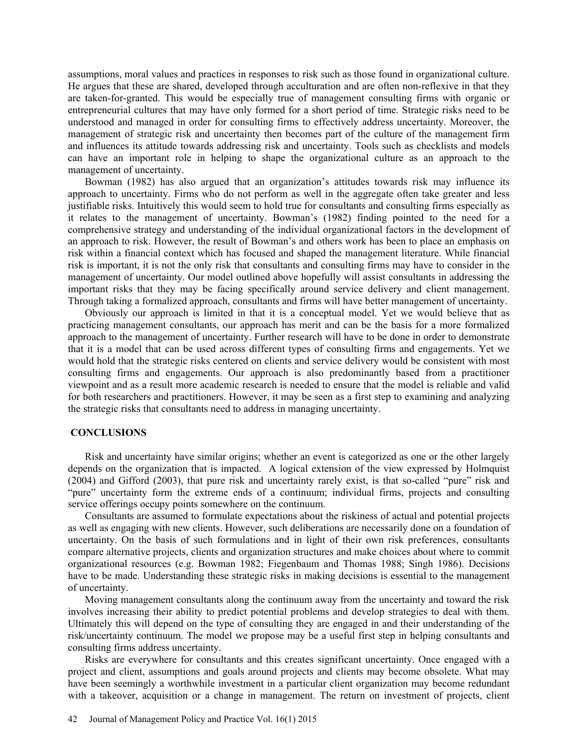assumptions, moral values and practices in responses to risk such as those found in organizational culture. He argues that these are shared, developed through acculturation and are often non-reflexive in that they are taken-for-granted. This would be especially true of management consulting firms with organic or entrepreneurial cultures that may have only formed for a short period of time. Strategic risks need to be understood and managed in order for consulting firms to effectively address uncertainty. Moreover, the management of strategic risk and uncertainty then becomes part of the culture of the management firm and influences its attitude towards addressing risk and uncertainty. Tools such as checklists and models can have an important role in helping to shape the organizational culture as an approach to the management of uncertainty.

Bowman (1982) has also argued that an organization's attitudes towards risk may influence its approach to uncertainty. Firms who do not perform as well in the aggregate often take greater and less justifiable risks. Intuitively this would seem to hold true for consultants and consulting firms especially as it relates to the management of uncertainty. Bowman's (1982) finding pointed to the need for a comprehensive strategy and understanding of the individual organizational factors in the development of an approach to risk. However, the result of Bowman's and others work has been to place an emphasis on risk within a financial context which has focused and shaped the management literature. While financial risk is important, it is not the only risk that consultants and consulting firms may have to consider in the management of uncertainty. Our model outlined above hopefully will assist consultants in addressing the important risks that they may be facing specifically around service delivery and client management. Through taking a formalized approach, consultants and firms will have better management of uncertainty.

Obviously our approach is limited in that it is a conceptual model. Yet we would believe that as practicing management consultants, our approach has merit and can be the basis for a more formalized approach to the management of uncertainty. Further research will have to be done in order to demonstrate that it is a model that can be used across different types of consulting firms and engagements. Yet we would hold that the strategic risks centered on clients and service delivery would be consistent with most consulting firms and engagements. Our approach is also predominantly based from a practitioner viewpoint and as a result more academic research is needed to ensure that the model is reliable and valid for both researchers and practitioners. However, it may be seen as a first step to examining and analyzing the strategic risks that consultants need to address in managing uncertainty.

# **CONCLUSIONS**

Risk and uncertainty have similar origins; whether an event is categorized as one or the other largely depends on the organization that is impacted. A logical extension of the view expressed by Holmquist (2004) and Gifford (2003), that pure risk and uncertainty rarely exist, is that so-called "pure" risk and "pure" uncertainty form the extreme ends of a continuum; individual firms, projects and consulting service offerings occupy points somewhere on the continuum.

Consultants are assumed to formulate expectations about the riskiness of actual and potential projects as well as engaging with new clients. However, such deliberations are necessarily done on a foundation of uncertainty. On the basis of such formulations and in light of their own risk preferences, consultants compare alternative projects, clients and organization structures and make choices about where to commit organizational resources (e.g. Bowman 1982; Fiegenbaum and Thomas 1988; Singh 1986). Decisions have to be made. Understanding these strategic risks in making decisions is essential to the management of uncertainty.

Moving management consultants along the continuum away from the uncertainty and toward the risk involves increasing their ability to predict potential problems and develop strategies to deal with them. Ultimately this will depend on the type of consulting they are engaged in and their understanding of the risk/uncertainty continuum. The model we propose may be a useful first step in helping consultants and consulting firms address uncertainty.

Risks are everywhere for consultants and this creates significant uncertainty. Once engaged with a project and client, assumptions and goals around projects and clients may become obsolete. What may have been seemingly a worthwhile investment in a particular client organization may become redundant with a takeover, acquisition or a change in management. The return on investment of projects, client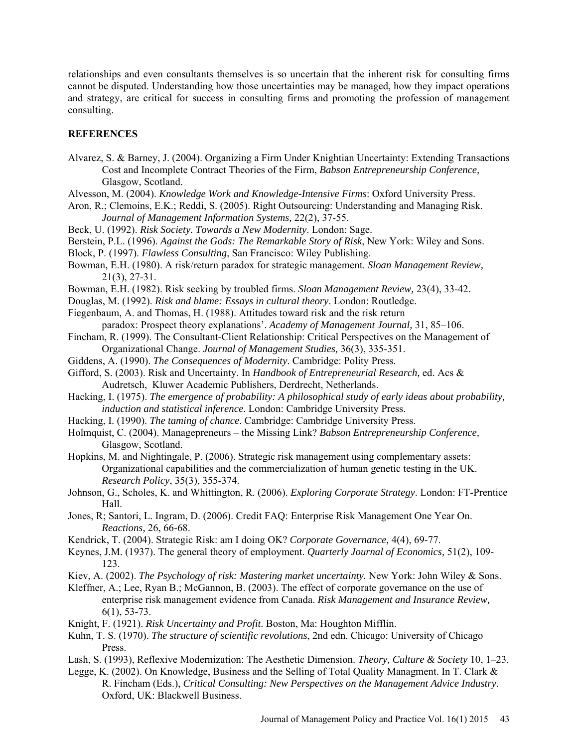relationships and even consultants themselves is so uncertain that the inherent risk for consulting firms cannot be disputed. Understanding how those uncertainties may be managed, how they impact operations and strategy, are critical for success in consulting firms and promoting the profession of management consulting.

### **REFERENCES**

- Alvarez, S. & Barney, J. (2004). Organizing a Firm Under Knightian Uncertainty: Extending Transactions Cost and Incomplete Contract Theories of the Firm, *Babson Entrepreneurship Conference,*  Glasgow, Scotland.
- Alvesson, M. (2004). *Knowledge Work and Knowledge-Intensive Firms*: Oxford University Press.
- Aron, R.; Clemoins, E.K.; Reddi, S. (2005). Right Outsourcing: Understanding and Managing Risk. *Journal of Management Information Systems,* 22(2), 37-55.
- Beck, U. (1992). *Risk Society. Towards a New Modernity*. London: Sage.
- Berstein, P.L. (1996). *Against the Gods: The Remarkable Story of Risk*, New York: Wiley and Sons.
- Block, P. (1997). *Flawless Consulting*, San Francisco: Wiley Publishing.
- Bowman, E.H. (1980). A risk/return paradox for strategic management. *Sloan Management Review,* 21(3), 27-31.
- Bowman, E.H. (1982). Risk seeking by troubled firms. *Sloan Management Review,* 23(4), 33-42.
- Douglas, M. (1992). *Risk and blame: Essays in cultural theory*. London: Routledge.
- Fiegenbaum, A. and Thomas, H. (1988). Attitudes toward risk and the risk return
- paradox: Prospect theory explanations'. *Academy of Management Journal,* 31, 85–106. Fincham, R. (1999). The Consultant-Client Relationship: Critical Perspectives on the Management of
- Organizational Change. *Journal of Management Studies,* 36(3), 335-351.
- Giddens, A. (1990). *The Consequences of Modernity*. Cambridge: Polity Press.
- Gifford, S. (2003). Risk and Uncertainty. In *Handbook of Entrepreneurial Research,* ed. Acs & Audretsch, Kluwer Academic Publishers, Derdrecht, Netherlands.
- Hacking, I. (1975). *The emergence of probability: A philosophical study of early ideas about probability, induction and statistical inference*. London: Cambridge University Press.
- Hacking, I. (1990). *The taming of chance*. Cambridge: Cambridge University Press.
- Holmquist, C. (2004). Managepreneurs the Missing Link? *Babson Entrepreneurship Conference,* Glasgow, Scotland.
- Hopkins, M. and Nightingale, P. (2006). Strategic risk management using complementary assets: Organizational capabilities and the commercialization of human genetic testing in the UK. *Research Policy*, 35(3), 355-374.
- Johnson, G., Scholes, K. and Whittington, R. (2006). *Exploring Corporate Strategy*. London: FT-Prentice Hall.
- Jones, R; Santori, L. Ingram, D. (2006). Credit FAQ: Enterprise Risk Management One Year On. *Reactions,* 26, 66-68.
- Kendrick, T. (2004). Strategic Risk: am I doing OK? *Corporate Governance,* 4(4), 69-77.
- Keynes, J.M. (1937). The general theory of employment. *Quarterly Journal of Economics,* 51(2), 109- 123.
- Kiev, A. (2002). *The Psychology of risk: Mastering market uncertainty.* New York: John Wiley & Sons.
- Kleffner, A.; Lee, Ryan B.; McGannon, B. (2003). The effect of corporate governance on the use of enterprise risk management evidence from Canada. *Risk Management and Insurance Review,* 6(1), 53-73.
- Knight, F. (1921). *Risk Uncertainty and Profit*. Boston, Ma: Houghton Mifflin.
- Kuhn, T. S. (1970). *The structure of scientific revolutions*, 2nd edn. Chicago: University of Chicago Press.
- Lash, S. (1993), Reflexive Modernization: The Aesthetic Dimension. *Theory, Culture & Society* 10, 1–23.

Legge, K. (2002). On Knowledge, Business and the Selling of Total Quality Managment. In T. Clark & R. Fincham (Eds.), *Critical Consulting: New Perspectives on the Management Advice Industry*. Oxford, UK: Blackwell Business.